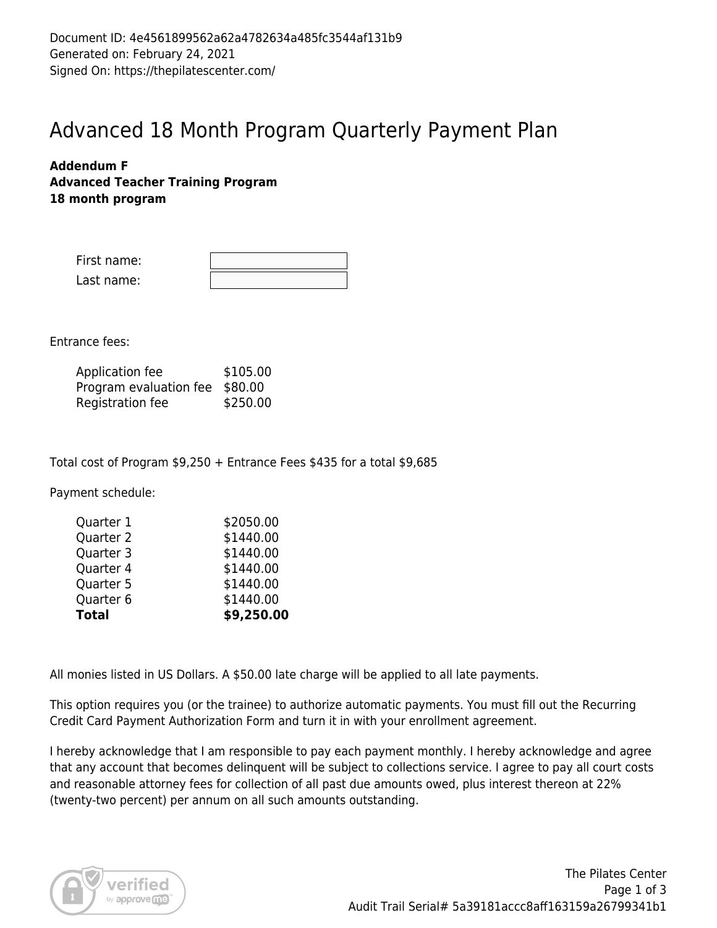## Advanced 18 Month Program Quarterly Payment Plan

### **Addendum F Advanced Teacher Training Program 18 month program**

| First name: |  |
|-------------|--|
| Last name:  |  |

Entrance fees:

| Application fee                | \$105.00 |
|--------------------------------|----------|
| Program evaluation fee \$80.00 |          |
| Registration fee               | \$250.00 |

Total cost of Program \$9,250 + Entrance Fees \$435 for a total \$9,685

Payment schedule:

| Quarter 1    | \$2050.00  |
|--------------|------------|
| Quarter 2    | \$1440.00  |
| Quarter 3    | \$1440.00  |
| Quarter 4    | \$1440.00  |
| Quarter 5    | \$1440.00  |
| Quarter 6    | \$1440.00  |
| <b>Total</b> | \$9,250.00 |

All monies listed in US Dollars. A \$50.00 late charge will be applied to all late payments.

This option requires you (or the trainee) to authorize automatic payments. You must fill out the Recurring Credit Card Payment Authorization Form and turn it in with your enrollment agreement.

I hereby acknowledge that I am responsible to pay each payment monthly. I hereby acknowledge and agree that any account that becomes delinquent will be subject to collections service. I agree to pay all court costs and reasonable attorney fees for collection of all past due amounts owed, plus interest thereon at 22% (twenty-two percent) per annum on all such amounts outstanding.

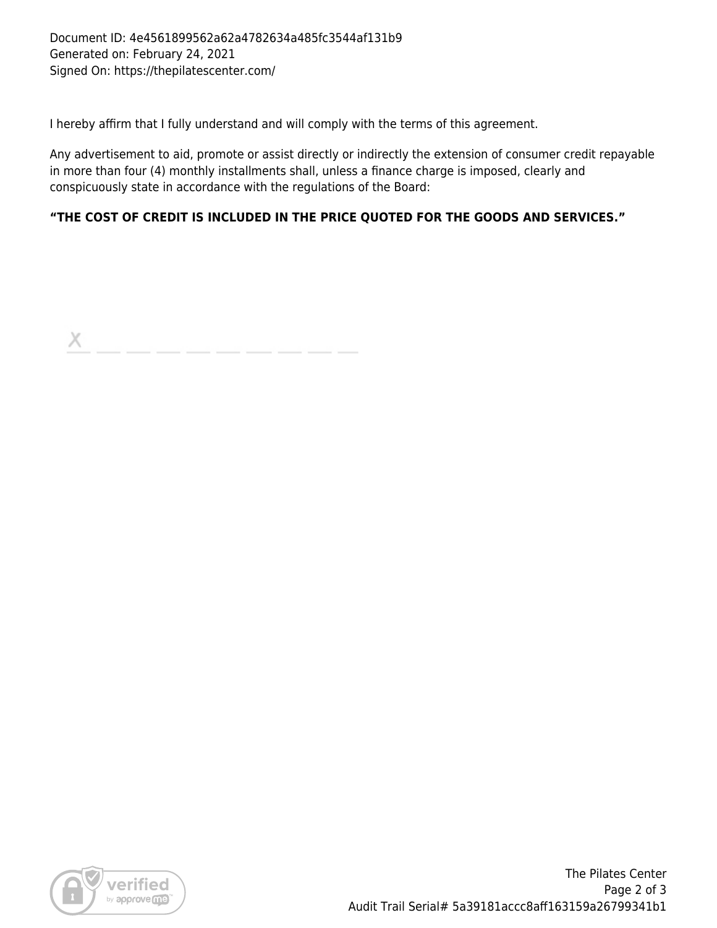I hereby affirm that I fully understand and will comply with the terms of this agreement.

Any advertisement to aid, promote or assist directly or indirectly the extension of consumer credit repayable in more than four (4) monthly installments shall, unless a finance charge is imposed, clearly and conspicuously state in accordance with the regulations of the Board:

## **"THE COST OF CREDIT IS INCLUDED IN THE PRICE QUOTED FOR THE GOODS AND SERVICES."**

X